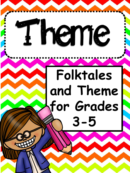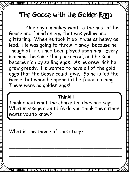# The **G**oose with the **G**olden Eggs

One day a monkey went to the nest of his Goose and found an egg that was yellow and glittering. When he took it up it was as heavy as lead. He was going to throw it away, because he though at trick had been played upon him. Every morning the same thing occurred, and he soon became rich by selling eggs. As he grew rich he grew greedy. He wanted to have all of the gold eggs that the Goose could give. So he killed the Goose, but when he opened it he found nothing. There were no golden eggs!

#### **Think!!!**

Think about what the character does and says. What message about life do you think the author wants you to know?

\_\_\_\_\_\_\_\_\_\_\_\_\_\_\_\_\_\_\_\_\_\_\_\_\_\_\_\_\_\_\_\_\_\_\_\_\_\_\_\_\_\_\_\_\_\_\_\_\_\_\_\_

\_\_\_\_\_\_\_\_\_\_\_\_\_\_\_\_\_\_\_\_\_\_\_\_\_\_\_\_\_\_\_\_\_\_\_\_\_\_\_\_\_\_\_\_\_\_\_\_\_\_\_\_

\_\_\_\_\_\_\_\_\_\_\_\_\_\_\_\_\_\_\_\_\_\_\_\_\_\_\_\_\_\_\_\_\_\_\_\_\_\_\_\_\_\_\_\_\_\_\_\_\_\_\_\_

What is the theme of this story?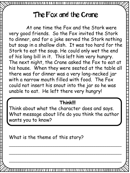### The Fox and the Crane

At one time the Fox and the Stork were very good friends. So the Fox invited the Stork to dinner, and for a joke served the Stork nothing but soup in a shallow dish. It was too hard for the Stork to eat the soup. He could only wet the end of his long bill in it. This left him very hungry. The next night, the Crane asked the Fox to eat at his house. When they were seated at the table all there was for dinner was a very long-necked jar with a narrow mouth filled with food. The Fox could not insert his snout into the jar so he was unable to eat. He left there very hungry!

#### **Think!!!**

Think about what the character does and says. What message about life do you think the author wants you to know?

\_\_\_\_\_\_\_\_\_\_\_\_\_\_\_\_\_\_\_\_\_\_\_\_\_\_\_\_\_\_\_\_\_\_\_\_\_\_\_\_\_\_\_\_\_\_\_\_\_\_\_\_

\_\_\_\_\_\_\_\_\_\_\_\_\_\_\_\_\_\_\_\_\_\_\_\_\_\_\_\_\_\_\_\_\_\_\_\_\_\_\_\_\_\_\_\_\_\_\_\_\_\_\_\_

\_\_\_\_\_\_\_\_\_\_\_\_\_\_\_\_\_\_\_\_\_\_\_\_\_\_\_\_\_\_\_\_\_\_\_\_\_\_\_\_\_\_\_\_\_\_\_\_\_\_\_\_

What is the theme of this story?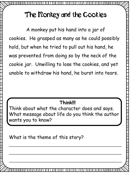## The Monkey and the Cookies

A monkey put his hand into a jar of cookies. He grasped as many as he could possibly hold, but when he tried to pull out his hand, he was prevented from doing so by the neck of the cookie jar. Unwilling to lose the cookies, and yet unable to withdraw his hand, he burst into tears.

#### **Think!!!**

Think about what the character does and says. What message about life do you think the author wants you to know?

What is the theme of this story?